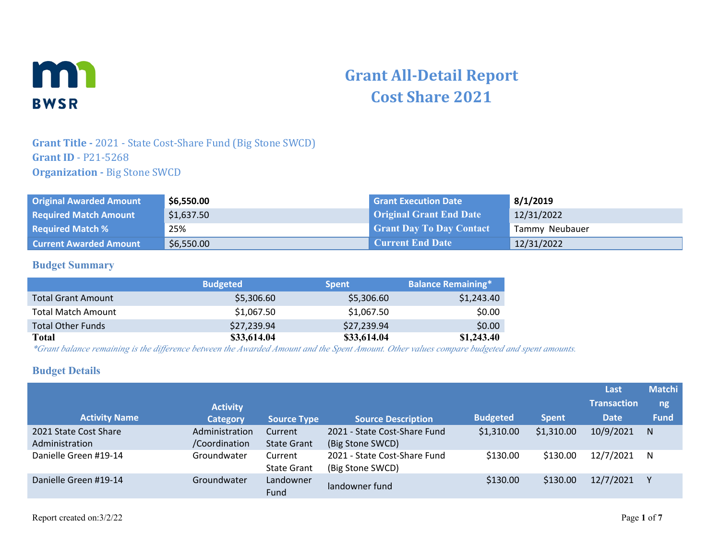

# **Grant All-Detail Report Cost Share 2021**

### **Grant Title -** 2021 - State Cost-Share Fund (Big Stone SWCD) **Grant ID** - P21-5268 **Organization - Big Stone SWCD**

| <b>Original Awarded Amount</b> | \$6,550.00 | <b>Grant Execution Date</b>     | 8/1/2019       |
|--------------------------------|------------|---------------------------------|----------------|
| <b>Required Match Amount</b>   | \$1,637.50 | <b>Original Grant End Date</b>  | 12/31/2022     |
| <b>Required Match %</b>        | 25%        | <b>Grant Day To Day Contact</b> | Tammy Neubauer |
| <b>Current Awarded Amount</b>  | \$6,550.00 | <b>Current End Date</b>         | 12/31/2022     |

#### **Budget Summary**

|                           | <b>Budgeted</b> | <b>Spent</b> | <b>Balance Remaining*</b> |
|---------------------------|-----------------|--------------|---------------------------|
| <b>Total Grant Amount</b> | \$5,306.60      | \$5,306.60   | \$1,243.40                |
| <b>Total Match Amount</b> | \$1,067.50      | \$1,067.50   | \$0.00                    |
| <b>Total Other Funds</b>  | \$27,239.94     | \$27,239.94  | \$0.00                    |
| Total                     | \$33,614.04     | \$33,614.04  | \$1,243.40                |

*\*Grant balance remaining is the difference between the Awarded Amount and the Spent Amount. Other values compare budgeted and spent amounts.*

#### **Budget Details**

|                                         |                                 |                               |                                                  |                 |              | Last               | <b>Matchi</b> |
|-----------------------------------------|---------------------------------|-------------------------------|--------------------------------------------------|-----------------|--------------|--------------------|---------------|
|                                         | <b>Activity</b>                 |                               |                                                  |                 |              | <b>Transaction</b> | ng            |
| <b>Activity Name</b>                    | <b>Category</b>                 | <b>Source Type</b>            | <b>Source Description</b>                        | <b>Budgeted</b> | <b>Spent</b> | <b>Date</b>        | <b>Fund</b>   |
| 2021 State Cost Share<br>Administration | Administration<br>/Coordination | Current<br><b>State Grant</b> | 2021 - State Cost-Share Fund<br>(Big Stone SWCD) | \$1,310.00      | \$1,310.00   | 10/9/2021          | N             |
| Danielle Green #19-14                   | Groundwater                     | Current<br><b>State Grant</b> | 2021 - State Cost-Share Fund<br>(Big Stone SWCD) | \$130.00        | \$130.00     | 12/7/2021          | N             |
| Danielle Green #19-14                   | Groundwater                     | Landowner<br>Fund             | landowner fund                                   | \$130.00        | \$130.00     | 12/7/2021          |               |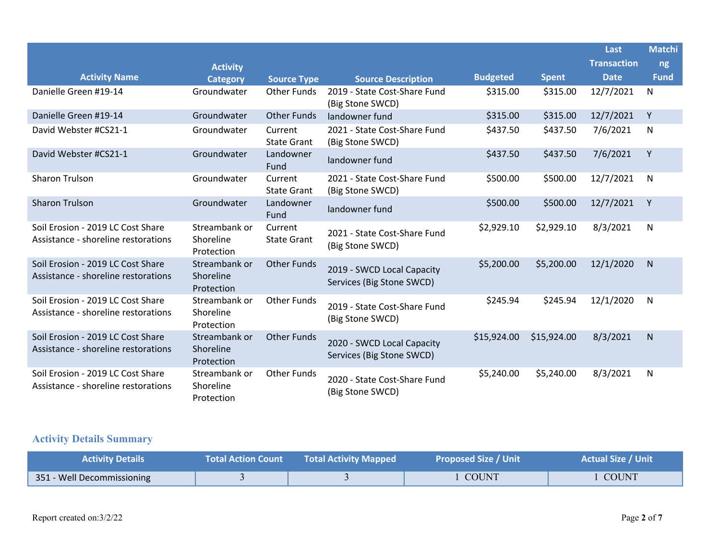|                                                                          |                                          |                               |                                                         |                 |              | Last               | <b>Matchi</b> |
|--------------------------------------------------------------------------|------------------------------------------|-------------------------------|---------------------------------------------------------|-----------------|--------------|--------------------|---------------|
|                                                                          | <b>Activity</b>                          |                               |                                                         |                 |              | <b>Transaction</b> | ng            |
| <b>Activity Name</b>                                                     | <b>Category</b>                          | <b>Source Type</b>            | <b>Source Description</b>                               | <b>Budgeted</b> | <b>Spent</b> | <b>Date</b>        | <b>Fund</b>   |
| Danielle Green #19-14                                                    | Groundwater                              | Other Funds                   | 2019 - State Cost-Share Fund<br>(Big Stone SWCD)        | \$315.00        | \$315.00     | 12/7/2021          | N             |
| Danielle Green #19-14                                                    | Groundwater                              | <b>Other Funds</b>            | landowner fund                                          | \$315.00        | \$315.00     | 12/7/2021          | Υ             |
| David Webster #CS21-1                                                    | Groundwater                              | Current<br><b>State Grant</b> | 2021 - State Cost-Share Fund<br>(Big Stone SWCD)        | \$437.50        | \$437.50     | 7/6/2021           | N             |
| David Webster #CS21-1                                                    | Groundwater                              | Landowner<br>Fund             | landowner fund                                          | \$437.50        | \$437.50     | 7/6/2021           | Y             |
| <b>Sharon Trulson</b>                                                    | Groundwater                              | Current<br><b>State Grant</b> | 2021 - State Cost-Share Fund<br>(Big Stone SWCD)        | \$500.00        | \$500.00     | 12/7/2021          | N             |
| <b>Sharon Trulson</b>                                                    | Groundwater                              | Landowner<br>Fund             | landowner fund                                          | \$500.00        | \$500.00     | 12/7/2021          | Y             |
| Soil Erosion - 2019 LC Cost Share<br>Assistance - shoreline restorations | Streambank or<br>Shoreline<br>Protection | Current<br><b>State Grant</b> | 2021 - State Cost-Share Fund<br>(Big Stone SWCD)        | \$2,929.10      | \$2,929.10   | 8/3/2021           | N             |
| Soil Erosion - 2019 LC Cost Share<br>Assistance - shoreline restorations | Streambank or<br>Shoreline<br>Protection | <b>Other Funds</b>            | 2019 - SWCD Local Capacity<br>Services (Big Stone SWCD) | \$5,200.00      | \$5,200.00   | 12/1/2020          | N             |
| Soil Erosion - 2019 LC Cost Share<br>Assistance - shoreline restorations | Streambank or<br>Shoreline<br>Protection | <b>Other Funds</b>            | 2019 - State Cost-Share Fund<br>(Big Stone SWCD)        | \$245.94        | \$245.94     | 12/1/2020          | N             |
| Soil Erosion - 2019 LC Cost Share<br>Assistance - shoreline restorations | Streambank or<br>Shoreline<br>Protection | <b>Other Funds</b>            | 2020 - SWCD Local Capacity<br>Services (Big Stone SWCD) | \$15,924.00     | \$15,924.00  | 8/3/2021           | N             |
| Soil Erosion - 2019 LC Cost Share<br>Assistance - shoreline restorations | Streambank or<br>Shoreline<br>Protection | <b>Other Funds</b>            | 2020 - State Cost-Share Fund<br>(Big Stone SWCD)        | \$5,240.00      | \$5,240.00   | 8/3/2021           | $\mathsf{N}$  |

# **Activity Details Summary**

| <b>Activity Details</b>    | <b>Total Action Count</b> | <b>Total Activity Mapped</b> | <b>Proposed Size / Unit</b> | <b>Actual Size / Unit</b> |
|----------------------------|---------------------------|------------------------------|-----------------------------|---------------------------|
| 351 - Well Decommissioning |                           |                              | <b>COUNT</b>                | <b>COUNT</b>              |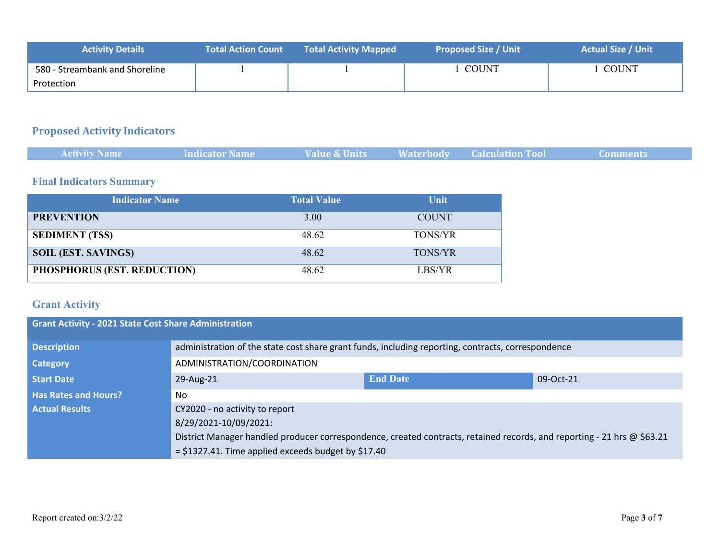| <b>Activity Details</b>        | <b>Total Action Count</b> | <b>Total Activity Mapped</b> | <b>Proposed Size / Unit</b> | <b>Actual Size / Unit</b> |
|--------------------------------|---------------------------|------------------------------|-----------------------------|---------------------------|
| 580 - Streambank and Shoreline |                           |                              | <b>COUNT</b>                | <b>COUNT</b>              |
| Protection                     |                           |                              |                             |                           |

## **Proposed Activity Indicators**

| <b>Activity Name</b> | <b>Indicator Name</b> | <b>Value &amp; Units</b> | <b>Naterbody Calculation Tool</b> |  |
|----------------------|-----------------------|--------------------------|-----------------------------------|--|
|                      |                       |                          |                                   |  |

### **Final Indicators Summary**

| <b>Indicator Name</b>       | <b>Total Value</b> | <b>Unit</b>    |
|-----------------------------|--------------------|----------------|
| <b>PREVENTION</b>           | 3.00               | <b>COUNT</b>   |
| <b>SEDIMENT (TSS)</b>       | 48.62              | <b>TONS/YR</b> |
| <b>SOIL (EST. SAVINGS)</b>  | 48.62              | <b>TONS/YR</b> |
| PHOSPHORUS (EST. REDUCTION) | 48.62              | LBS/YR         |

# **Grant Activity**

| <b>Grant Activity - 2021 State Cost Share Administration</b> |                                                                                                                         |                                                                                                    |           |  |  |  |
|--------------------------------------------------------------|-------------------------------------------------------------------------------------------------------------------------|----------------------------------------------------------------------------------------------------|-----------|--|--|--|
| <b>Description</b>                                           |                                                                                                                         | administration of the state cost share grant funds, including reporting, contracts, correspondence |           |  |  |  |
| <b>Category</b>                                              | ADMINISTRATION/COORDINATION                                                                                             |                                                                                                    |           |  |  |  |
| <b>Start Date</b>                                            | 29-Aug-21                                                                                                               | <b>End Date</b>                                                                                    | 09-Oct-21 |  |  |  |
| <b>Has Rates and Hours?</b>                                  | No.                                                                                                                     |                                                                                                    |           |  |  |  |
| <b>Actual Results</b>                                        | CY2020 - no activity to report                                                                                          |                                                                                                    |           |  |  |  |
|                                                              | 8/29/2021-10/09/2021:                                                                                                   |                                                                                                    |           |  |  |  |
|                                                              | District Manager handled producer correspondence, created contracts, retained records, and reporting - 21 hrs @ \$63.21 |                                                                                                    |           |  |  |  |
|                                                              | $=$ \$1327.41. Time applied exceeds budget by \$17.40                                                                   |                                                                                                    |           |  |  |  |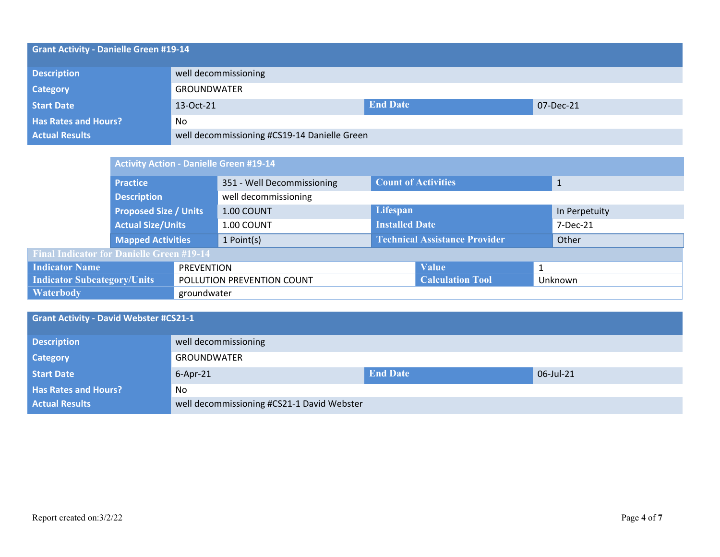| <b>Grant Activity - Danielle Green #19-14</b> |                                              |                              |  |  |  |  |
|-----------------------------------------------|----------------------------------------------|------------------------------|--|--|--|--|
| <b>Description</b>                            | well decommissioning                         |                              |  |  |  |  |
| <b>Category</b>                               | <b>GROUNDWATER</b>                           |                              |  |  |  |  |
| <b>Start Date</b>                             | 13-Oct-21                                    | <b>End Date</b><br>07-Dec-21 |  |  |  |  |
| <b>Has Rates and Hours?</b>                   | No                                           |                              |  |  |  |  |
| <b>Actual Results</b>                         | well decommissioning #CS19-14 Danielle Green |                              |  |  |  |  |

|                                                  | <b>Activity Action - Danielle Green #19-14</b> |                   |                            |                                      |                         |               |         |
|--------------------------------------------------|------------------------------------------------|-------------------|----------------------------|--------------------------------------|-------------------------|---------------|---------|
|                                                  | <b>Practice</b>                                |                   | 351 - Well Decommissioning | <b>Count of Activities</b>           |                         | $\mathbf{1}$  |         |
|                                                  | <b>Description</b>                             |                   | well decommissioning       |                                      |                         |               |         |
|                                                  | <b>Proposed Size / Units</b>                   |                   | 1.00 COUNT                 | Lifespan                             |                         | In Perpetuity |         |
|                                                  | <b>Actual Size/Units</b>                       |                   | 1.00 COUNT                 | <b>Installed Date</b>                |                         | 7-Dec-21      |         |
|                                                  | <b>Mapped Activities</b>                       |                   | 1 Point(s)                 | <b>Technical Assistance Provider</b> |                         |               | Other   |
| <b>Final Indicator for Danielle Green #19-14</b> |                                                |                   |                            |                                      |                         |               |         |
| <b>Indicator Name</b>                            |                                                | <b>PREVENTION</b> |                            |                                      | <b>Value</b>            | 1             |         |
| <b>Indicator Subcategory/Units</b>               |                                                |                   | POLLUTION PREVENTION COUNT |                                      | <b>Calculation Tool</b> |               | Unknown |
| <b>Waterbody</b>                                 |                                                | groundwater       |                            |                                      |                         |               |         |

| <b>Grant Activity - David Webster #CS21-1</b> |                                            |                 |           |  |  |
|-----------------------------------------------|--------------------------------------------|-----------------|-----------|--|--|
| <b>Description</b>                            | well decommissioning                       |                 |           |  |  |
| <b>Category</b>                               | GROUNDWATER                                |                 |           |  |  |
| <b>Start Date</b>                             | $6 - Apr - 21$                             | <b>End Date</b> | 06-Jul-21 |  |  |
| <b>Has Rates and Hours?</b>                   | No                                         |                 |           |  |  |
| <b>Actual Results</b>                         | well decommissioning #CS21-1 David Webster |                 |           |  |  |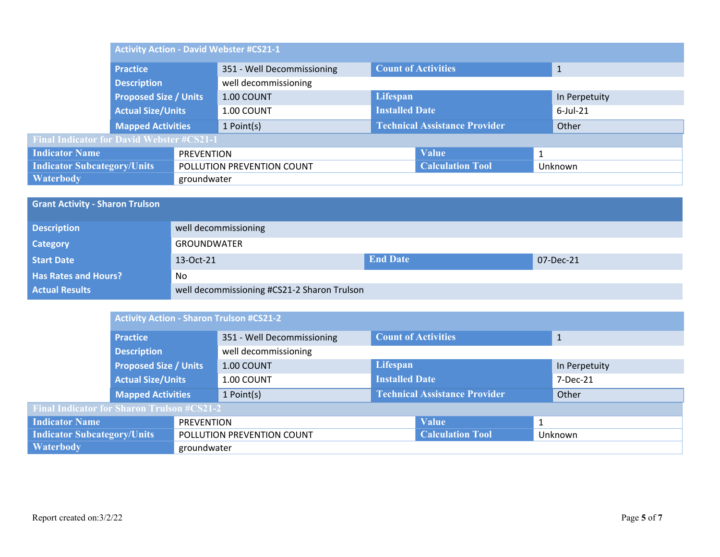| <b>Activity Action - David Webster #CS21-1</b>   |  |                            |  |                                      |   |               |  |
|--------------------------------------------------|--|----------------------------|--|--------------------------------------|---|---------------|--|
| <b>Practice</b>                                  |  | 351 - Well Decommissioning |  | <b>Count of Activities</b>           |   |               |  |
| <b>Description</b>                               |  | well decommissioning       |  |                                      |   |               |  |
| <b>Proposed Size / Units</b>                     |  | 1.00 COUNT                 |  | Lifespan                             |   | In Perpetuity |  |
| <b>Actual Size/Units</b>                         |  | 1.00 COUNT                 |  | <b>Installed Date</b>                |   | $6$ -Jul-21   |  |
| <b>Mapped Activities</b>                         |  | 1 Point(s)                 |  | <b>Technical Assistance Provider</b> |   | Other         |  |
| <b>Final Indicator for David Webster #CS21-1</b> |  |                            |  |                                      |   |               |  |
| <b>Indicator Name</b><br><b>PREVENTION</b>       |  |                            |  | <b>Value</b>                         | 1 |               |  |
| <b>Indicator Subcategory/Units</b>               |  | POLLUTION PREVENTION COUNT |  | <b>Calculation Tool</b>              |   | Unknown       |  |
| <b>Waterbody</b><br>groundwater                  |  |                            |  |                                      |   |               |  |

| <b>Grant Activity - Sharon Trulson</b> |                                             |                 |           |  |  |
|----------------------------------------|---------------------------------------------|-----------------|-----------|--|--|
| <b>Description</b>                     | well decommissioning                        |                 |           |  |  |
| <b>Category</b>                        | <b>GROUNDWATER</b>                          |                 |           |  |  |
| <b>Start Date</b>                      | 13-Oct-21                                   | <b>End Date</b> | 07-Dec-21 |  |  |
| <b>Has Rates and Hours?</b>            | No                                          |                 |           |  |  |
| <b>Actual Results</b>                  | well decommissioning #CS21-2 Sharon Trulson |                 |           |  |  |

|                                                   | <b>Activity Action - Sharon Trulson #CS21-2</b> |                            |                            |                                      |  |               |       |
|---------------------------------------------------|-------------------------------------------------|----------------------------|----------------------------|--------------------------------------|--|---------------|-------|
|                                                   | <b>Practice</b>                                 |                            | 351 - Well Decommissioning | <b>Count of Activities</b>           |  |               |       |
|                                                   | <b>Description</b>                              |                            | well decommissioning       |                                      |  |               |       |
|                                                   | <b>Proposed Size / Units</b>                    |                            | 1.00 COUNT                 | Lifespan                             |  | In Perpetuity |       |
|                                                   | <b>Actual Size/Units</b>                        |                            | 1.00 COUNT                 | <b>Installed Date</b>                |  | 7-Dec-21      |       |
|                                                   | <b>Mapped Activities</b>                        |                            | 1 Point(s)                 | <b>Technical Assistance Provider</b> |  |               | Other |
| <b>Final Indicator for Sharon Trulson #CS21-2</b> |                                                 |                            |                            |                                      |  |               |       |
| <b>Indicator Name</b><br>PREVENTION               |                                                 |                            |                            | <b>Value</b>                         |  |               |       |
| <b>Indicator Subcategory/Units</b>                |                                                 | POLLUTION PREVENTION COUNT |                            | <b>Calculation Tool</b>              |  | Unknown       |       |
| <b>Waterbody</b><br>groundwater                   |                                                 |                            |                            |                                      |  |               |       |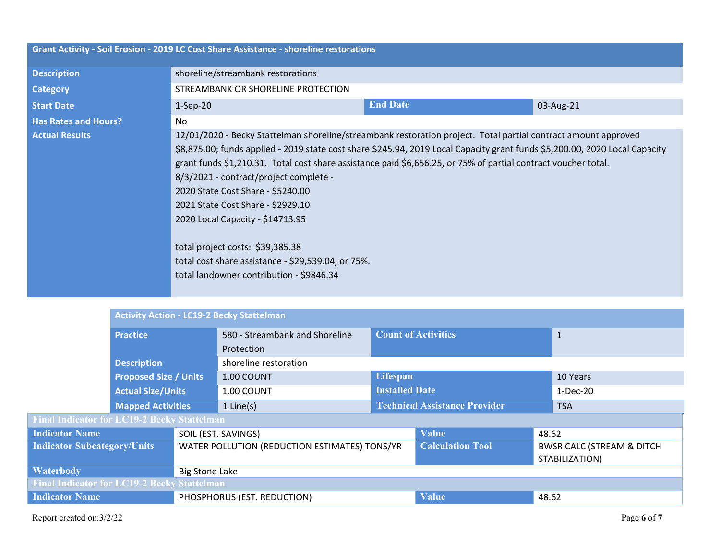| Grant Activity - Soil Erosion - 2019 LC Cost Share Assistance - shoreline restorations |                                                                                                                                                                                                                                                                                                                                                                                                                                                                                                                                                                                                                                                               |                 |           |  |  |  |  |
|----------------------------------------------------------------------------------------|---------------------------------------------------------------------------------------------------------------------------------------------------------------------------------------------------------------------------------------------------------------------------------------------------------------------------------------------------------------------------------------------------------------------------------------------------------------------------------------------------------------------------------------------------------------------------------------------------------------------------------------------------------------|-----------------|-----------|--|--|--|--|
| <b>Description</b>                                                                     | shoreline/streambank restorations                                                                                                                                                                                                                                                                                                                                                                                                                                                                                                                                                                                                                             |                 |           |  |  |  |  |
| <b>Category</b>                                                                        | STREAMBANK OR SHORELINE PROTECTION                                                                                                                                                                                                                                                                                                                                                                                                                                                                                                                                                                                                                            |                 |           |  |  |  |  |
| <b>Start Date</b>                                                                      | $1-Sep-20$                                                                                                                                                                                                                                                                                                                                                                                                                                                                                                                                                                                                                                                    | <b>End Date</b> | 03-Aug-21 |  |  |  |  |
| <b>Has Rates and Hours?</b>                                                            | N <sub>o</sub>                                                                                                                                                                                                                                                                                                                                                                                                                                                                                                                                                                                                                                                |                 |           |  |  |  |  |
| <b>Actual Results</b>                                                                  | 12/01/2020 - Becky Stattelman shoreline/streambank restoration project. Total partial contract amount approved<br>\$8,875.00; funds applied - 2019 state cost share \$245.94, 2019 Local Capacity grant funds \$5,200.00, 2020 Local Capacity<br>grant funds \$1,210.31. Total cost share assistance paid \$6,656.25, or 75% of partial contract voucher total.<br>8/3/2021 - contract/project complete -<br>2020 State Cost Share - \$5240.00<br>2021 State Cost Share - \$2929.10<br>2020 Local Capacity - \$14713.95<br>total project costs: \$39,385.38<br>total cost share assistance - \$29,539.04, or 75%.<br>total landowner contribution - \$9846.34 |                 |           |  |  |  |  |

|                                                    | <b>Activity Action - LC19-2 Becky Stattelman</b> |                                               |                                |                                      |                                                         |              |  |
|----------------------------------------------------|--------------------------------------------------|-----------------------------------------------|--------------------------------|--------------------------------------|---------------------------------------------------------|--------------|--|
|                                                    | <b>Practice</b>                                  |                                               | 580 - Streambank and Shoreline | <b>Count of Activities</b>           |                                                         | $\mathbf{1}$ |  |
|                                                    |                                                  |                                               | Protection                     |                                      |                                                         |              |  |
|                                                    | <b>Description</b>                               |                                               | shoreline restoration          |                                      |                                                         |              |  |
|                                                    | <b>Proposed Size / Units</b>                     |                                               | 1.00 COUNT                     | Lifespan                             |                                                         | 10 Years     |  |
|                                                    | <b>Actual Size/Units</b>                         |                                               | 1.00 COUNT                     | <b>Installed Date</b>                |                                                         | 1-Dec-20     |  |
|                                                    | <b>Mapped Activities</b>                         |                                               | $1$ Line(s)                    | <b>Technical Assistance Provider</b> |                                                         | <b>TSA</b>   |  |
| <b>Final Indicator for LC19-2 Becky Stattelman</b> |                                                  |                                               |                                |                                      |                                                         |              |  |
| <b>Indicator Name</b>                              |                                                  |                                               | SOIL (EST. SAVINGS)            |                                      | <b>Value</b>                                            | 48.62        |  |
| <b>Indicator Subcategory/Units</b>                 |                                                  | WATER POLLUTION (REDUCTION ESTIMATES) TONS/YR |                                | <b>Calculation Tool</b>              | <b>BWSR CALC (STREAM &amp; DITCH)</b><br>STABILIZATION) |              |  |
| <b>Waterbody</b><br><b>Big Stone Lake</b>          |                                                  |                                               |                                |                                      |                                                         |              |  |
| <b>Final Indicator for LC19-2 Becky Stattelman</b> |                                                  |                                               |                                |                                      |                                                         |              |  |
| <b>Indicator Name</b>                              |                                                  | PHOSPHORUS (EST. REDUCTION)                   |                                | <b>Value</b>                         | 48.62                                                   |              |  |